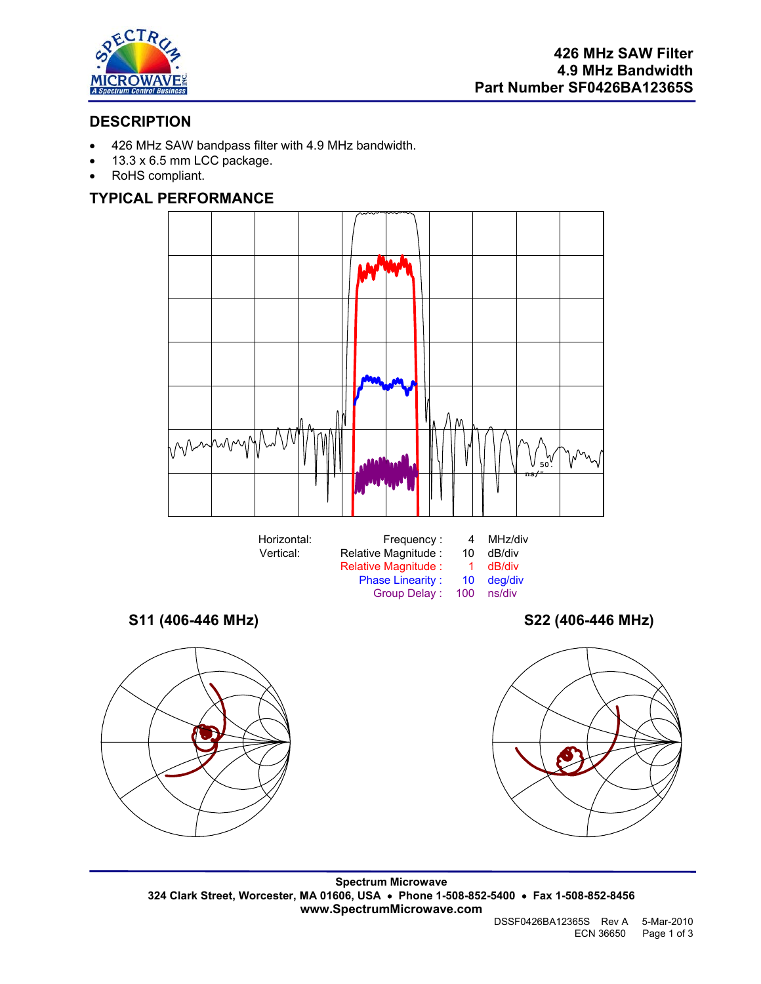

# **DESCRIPTION**

- 426 MHz SAW bandpass filter with 4.9 MHz bandwidth.
- 13.3 x 6.5 mm LCC package.
- RoHS compliant.

## **TYPICAL PERFORMANCE**





Ø

**Spectrum Microwave 324 Clark Street, Worcester, MA 01606, USA** • **Phone 1-508-852-5400** • **Fax 1-508-852-8456 www.SpectrumMicrowave.com**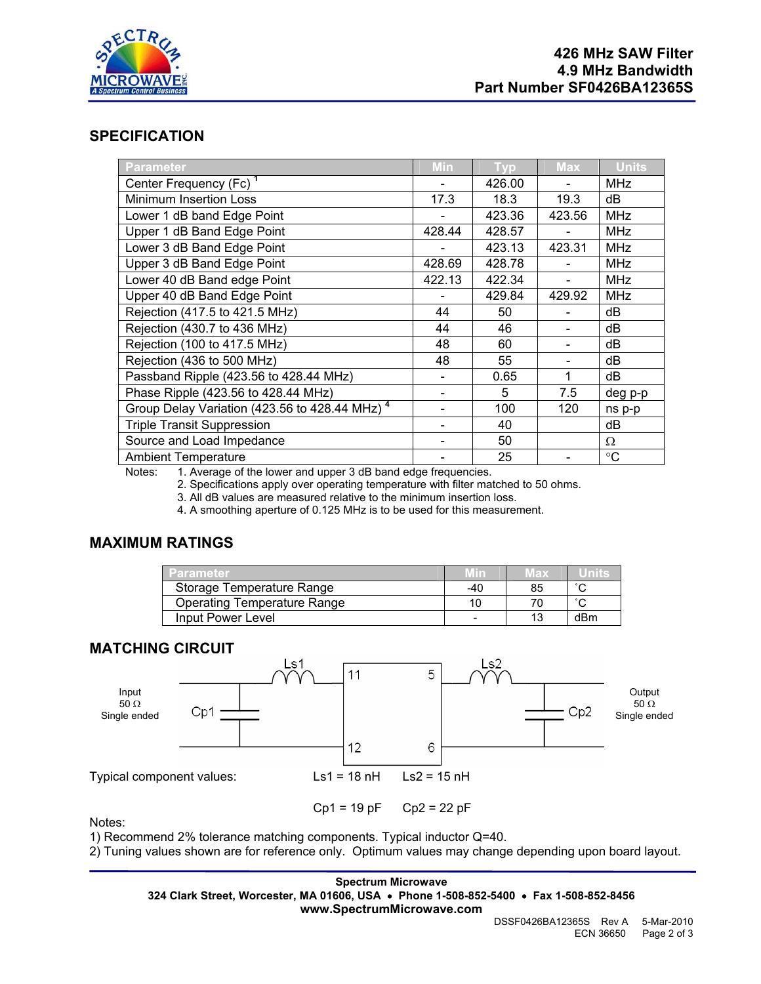

## **SPECIFICATION**

| <b>Parameter</b>                                                                     | Min                      | Tvp.   | <b>Max</b> | <b>Units</b>    |
|--------------------------------------------------------------------------------------|--------------------------|--------|------------|-----------------|
| Center Frequency (Fc) <sup>1</sup>                                                   |                          | 426.00 |            | MHz             |
| Minimum Insertion Loss                                                               | 17.3                     | 18.3   | 19.3       | dB              |
| Lower 1 dB band Edge Point                                                           |                          | 423.36 | 423.56     | <b>MHz</b>      |
| Upper 1 dB Band Edge Point                                                           | 428.44                   | 428.57 |            | <b>MHz</b>      |
| Lower 3 dB Band Edge Point                                                           |                          | 423.13 | 423.31     | <b>MHz</b>      |
| Upper 3 dB Band Edge Point                                                           | 428.69                   | 428.78 |            | <b>MHz</b>      |
| Lower 40 dB Band edge Point                                                          | 422.13                   | 422.34 |            | <b>MHz</b>      |
| Upper 40 dB Band Edge Point                                                          |                          | 429.84 | 429.92     | <b>MHz</b>      |
| Rejection (417.5 to 421.5 MHz)                                                       | 44                       | 50     |            | dВ              |
| Rejection (430.7 to 436 MHz)                                                         | 44                       | 46     |            | dB              |
| Rejection (100 to 417.5 MHz)                                                         | 48                       | 60     |            | dB              |
| Rejection (436 to 500 MHz)                                                           | 48                       | 55     |            | dB              |
| Passband Ripple (423.56 to 428.44 MHz)                                               | $\overline{\phantom{a}}$ | 0.65   | 1          | dВ              |
| Phase Ripple (423.56 to 428.44 MHz)                                                  |                          | 5      | 7.5        | deg p-p         |
| Group Delay Variation (423.56 to 428.44 MHz) <sup>4</sup>                            |                          | 100    | 120        | ns p-p          |
| <b>Triple Transit Suppression</b>                                                    |                          | 40     |            | dB              |
| Source and Load Impedance                                                            |                          | 50     |            | Ω               |
| <b>Ambient Temperature</b>                                                           |                          | 25     |            | $\rm ^{\circ}C$ |
| Notes: $A$ , Augusta of the Journal was and when $\Omega$ dD hand added from innoice |                          |        |            |                 |

Notes: 1. Average of the lower and upper 3 dB band edge frequencies.

2. Specifications apply over operating temperature with filter matched to 50 ohms.

3. All dB values are measured relative to the minimum insertion loss.

4. A smoothing aperture of 0.125 MHz is to be used for this measurement.

### **MAXIMUM RATINGS**

| Parameter                          | Min | иах |        |
|------------------------------------|-----|-----|--------|
| Storage Temperature Range          | -40 | 85  | $\sim$ |
| <b>Operating Temperature Range</b> |     |     | $\sim$ |
| Input Power Level                  |     |     | dBm    |

### **MATCHING CIRCUIT**



Notes:

1) Recommend 2% tolerance matching components. Typical inductor Q=40.

2) Tuning values shown are for reference only. Optimum values may change depending upon board layout.

#### **Spectrum Microwave 324 Clark Street, Worcester, MA 01606, USA** • **Phone 1-508-852-5400** • **Fax 1-508-852-8456 www.SpectrumMicrowave.com**